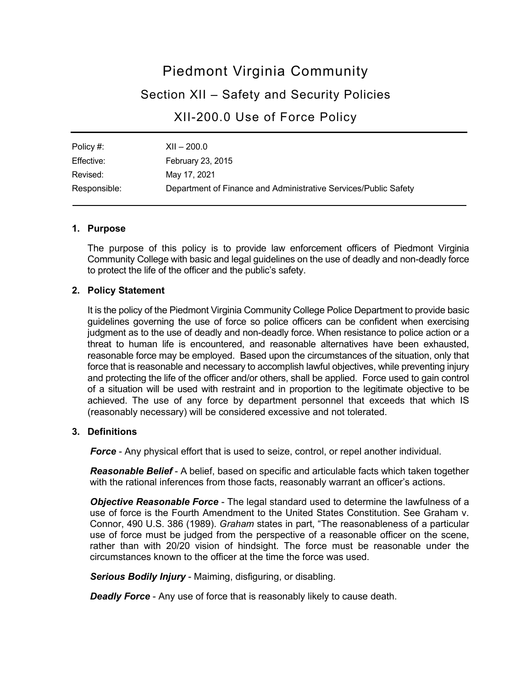# Piedmont Virginia Community Section XII – Safety and Security Policies

XII-200.0 Use of Force Policy

| Policy #:    | $XII - 200.0$                                                   |
|--------------|-----------------------------------------------------------------|
| Effective:   | February 23, 2015                                               |
| Revised:     | May 17, 2021                                                    |
| Responsible: | Department of Finance and Administrative Services/Public Safety |

## **1. Purpose**

The purpose of this policy is to provide law enforcement officers of Piedmont Virginia Community College with basic and legal guidelines on the use of deadly and non-deadly force to protect the life of the officer and the public's safety.

## **2. Policy Statement**

It is the policy of the Piedmont Virginia Community College Police Department to provide basic guidelines governing the use of force so police officers can be confident when exercising judgment as to the use of deadly and non-deadly force. When resistance to police action or a threat to human life is encountered, and reasonable alternatives have been exhausted, reasonable force may be employed. Based upon the circumstances of the situation, only that force that is reasonable and necessary to accomplish lawful objectives, while preventing injury and protecting the life of the officer and/or others, shall be applied. Force used to gain control of a situation will be used with restraint and in proportion to the legitimate objective to be achieved. The use of any force by department personnel that exceeds that which IS (reasonably necessary) will be considered excessive and not tolerated.

## **3. Definitions**

*Force* - Any physical effort that is used to seize, control, or repel another individual.

*Reasonable Belief* - A belief, based on specific and articulable facts which taken together with the rational inferences from those facts, reasonably warrant an officer's actions.

*Objective Reasonable Force* - The legal standard used to determine the lawfulness of a use of force is the Fourth Amendment to the United States Constitution. See Graham v. Connor, 490 U.S. 386 (1989). *Graham* states in part, "The reasonableness of a particular use of force must be judged from the perspective of a reasonable officer on the scene, rather than with 20/20 vision of hindsight. The force must be reasonable under the circumstances known to the officer at the time the force was used.

*Serious Bodily Injury* - Maiming, disfiguring, or disabling.

*Deadly Force* - Any use of force that is reasonably likely to cause death.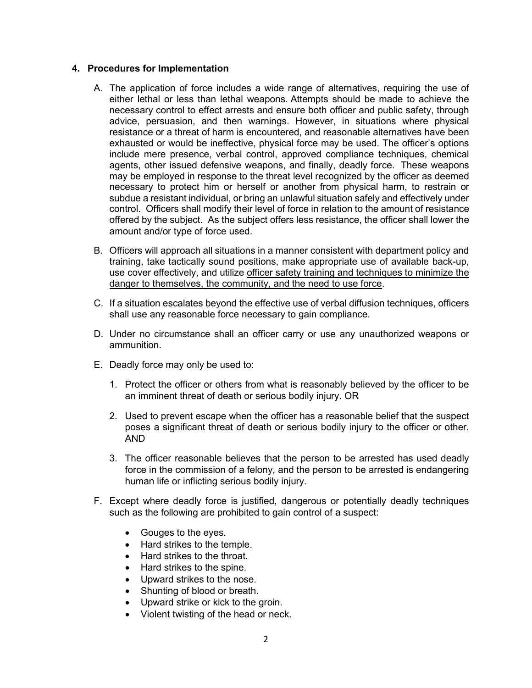### **4. Procedures for Implementation**

- A. The application of force includes a wide range of alternatives, requiring the use of either lethal or less than lethal weapons. Attempts should be made to achieve the necessary control to effect arrests and ensure both officer and public safety, through advice, persuasion, and then warnings. However, in situations where physical resistance or a threat of harm is encountered, and reasonable alternatives have been exhausted or would be ineffective, physical force may be used. The officer's options include mere presence, verbal control, approved compliance techniques, chemical agents, other issued defensive weapons, and finally, deadly force. These weapons may be employed in response to the threat level recognized by the officer as deemed necessary to protect him or herself or another from physical harm, to restrain or subdue a resistant individual, or bring an unlawful situation safely and effectively under control. Officers shall modify their level of force in relation to the amount of resistance offered by the subject. As the subject offers less resistance, the officer shall lower the amount and/or type of force used.
- B. Officers will approach all situations in a manner consistent with department policy and training, take tactically sound positions, make appropriate use of available back-up, use cover effectively, and utilize officer safety training and techniques to minimize the danger to themselves, the community, and the need to use force.
- C. If a situation escalates beyond the effective use of verbal diffusion techniques, officers shall use any reasonable force necessary to gain compliance.
- D. Under no circumstance shall an officer carry or use any unauthorized weapons or ammunition.
- E. Deadly force may only be used to:
	- 1. Protect the officer or others from what is reasonably believed by the officer to be an imminent threat of death or serious bodily injury. OR
	- 2. Used to prevent escape when the officer has a reasonable belief that the suspect poses a significant threat of death or serious bodily injury to the officer or other. AND
	- 3. The officer reasonable believes that the person to be arrested has used deadly force in the commission of a felony, and the person to be arrested is endangering human life or inflicting serious bodily injury.
- F. Except where deadly force is justified, dangerous or potentially deadly techniques such as the following are prohibited to gain control of a suspect:
	- Gouges to the eyes.
	- Hard strikes to the temple.
	- Hard strikes to the throat.
	- Hard strikes to the spine.
	- Upward strikes to the nose.
	- Shunting of blood or breath.
	- Upward strike or kick to the groin.
	- Violent twisting of the head or neck.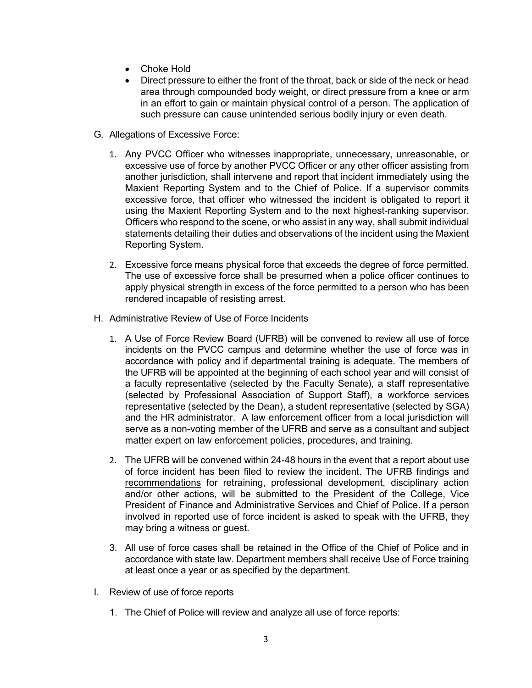- Choke Hold
- Direct pressure to either the front of the throat, back or side of the neck or head area through compounded body weight, or direct pressure from a knee or arm in an effort to gain or maintain physical control of a person. The application of such pressure can cause unintended serious bodily injury or even death.
- G. Allegations of Excessive Force:
	- 1. Any PVCC Officer who witnesses inappropriate, unnecessary, unreasonable, or excessive use of force by another PVCC Officer or any other officer assisting from another jurisdiction, shall intervene and report that incident immediately using the Maxient Reporting System and to the Chief of Police. If a supervisor commits excessive force, that officer who witnessed the incident is obligated to report it using the Maxient Reporting System and to the next highest-ranking supervisor. Officers who respond to the scene, or who assist in any way, shall submit individual statements detailing their duties and observations of the incident using the Maxient Reporting System.
	- 2. Excessive force means physical force that exceeds the degree of force permitted. The use of excessive force shall be presumed when a police officer continues to apply physical strength in excess of the force permitted to a person who has been rendered incapable of resisting arrest.
- H. Administrative Review of Use of Force Incidents
	- 1. A Use of Force Review Board (UFRB) will be convened to review all use of force incidents on the PVCC campus and determine whether the use of force was in accordance with policy and if departmental training is adequate. The members of the UFRB will be appointed at the beginning of each school year and will consist of a faculty representative (selected by the Faculty Senate), a staff representative (selected by Professional Association of Support Staff), a workforce services representative (selected by the Dean), a student representative (selected by SGA) and the HR administrator. A law enforcement officer from a local jurisdiction will serve as a non-voting member of the UFRB and serve as a consultant and subject matter expert on law enforcement policies, procedures, and training.
	- 2. The UFRB will be convened within 24-48 hours in the event that a report about use of force incident has been filed to review the incident. The UFRB findings and recommendations for retraining, professional development, disciplinary action and/or other actions, will be submitted to the President of the College, Vice President of Finance and Administrative Services and Chief of Police. If a person involved in reported use of force incident is asked to speak with the UFRB, they may bring a witness or guest.
	- 3. All use of force cases shall be retained in the Office of the Chief of Police and in accordance with state law. Department members shall receive Use of Force training at least once a year or as specified by the department.
- I. Review of use of force reports
	- 1. The Chief of Police will review and analyze all use of force reports: